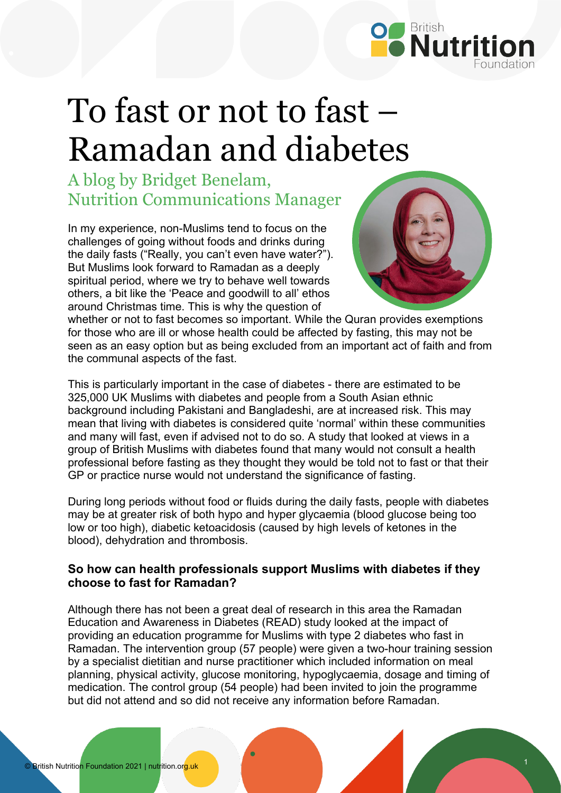

## To fast or not to fast – Ramadan and diabetes

A blog by Bridget Benelam, Nutrition Communications Manager

In my experience, non-Muslims tend to focus on the challenges of going without foods and drinks during the daily fasts ("Really, you can't even have water?"). But Muslims look forward to Ramadan as a deeply spiritual period, where we try to behave well towards others, a bit like the 'Peace and goodwill to all' ethos around Christmas time. This is why the question of



whether or not to fast becomes so important. While the Quran provides exemptions for those who are ill or whose health could be affected by fasting, this may not be seen as an easy option but as being excluded from an important act of faith and from the communal aspects of the fast.

This is particularly important in the case of diabetes - there are estimated to be 325,000 UK Muslims with diabetes and people from a South Asian ethnic background including Pakistani and Bangladeshi, are at increased risk. This may mean that living with diabetes is considered quite 'normal' within these communities and many will fast, even if advised not to do so. A study that looked at views in a group of British Muslims with diabetes found that many would not consult a health professional before fasting as they thought they would be told not to fast or that their GP or practice nurse would not understand the significance of fasting.

During long periods without food or fluids during the daily fasts, people with diabetes may be at greater risk of both hypo and hyper glycaemia (blood glucose being too low or too high), diabetic ketoacidosis (caused by high levels of ketones in the blood), dehydration and thrombosis.

## **So how can health professionals support Muslims with diabetes if they choose to fast for Ramadan?**

Although there has not been a great deal of research in this area the Ramadan Education and Awareness in Diabetes (READ) study looked at the impact of providing an education programme for Muslims with type 2 diabetes who fast in Ramadan. The intervention group (57 people) were given a two-hour training session by a specialist dietitian and nurse practitioner which included information on meal planning, physical activity, glucose monitoring, hypoglycaemia, dosage and timing of medication. The control group (54 people) had been invited to join the programme but did not attend and so did not receive any information before Ramadan.